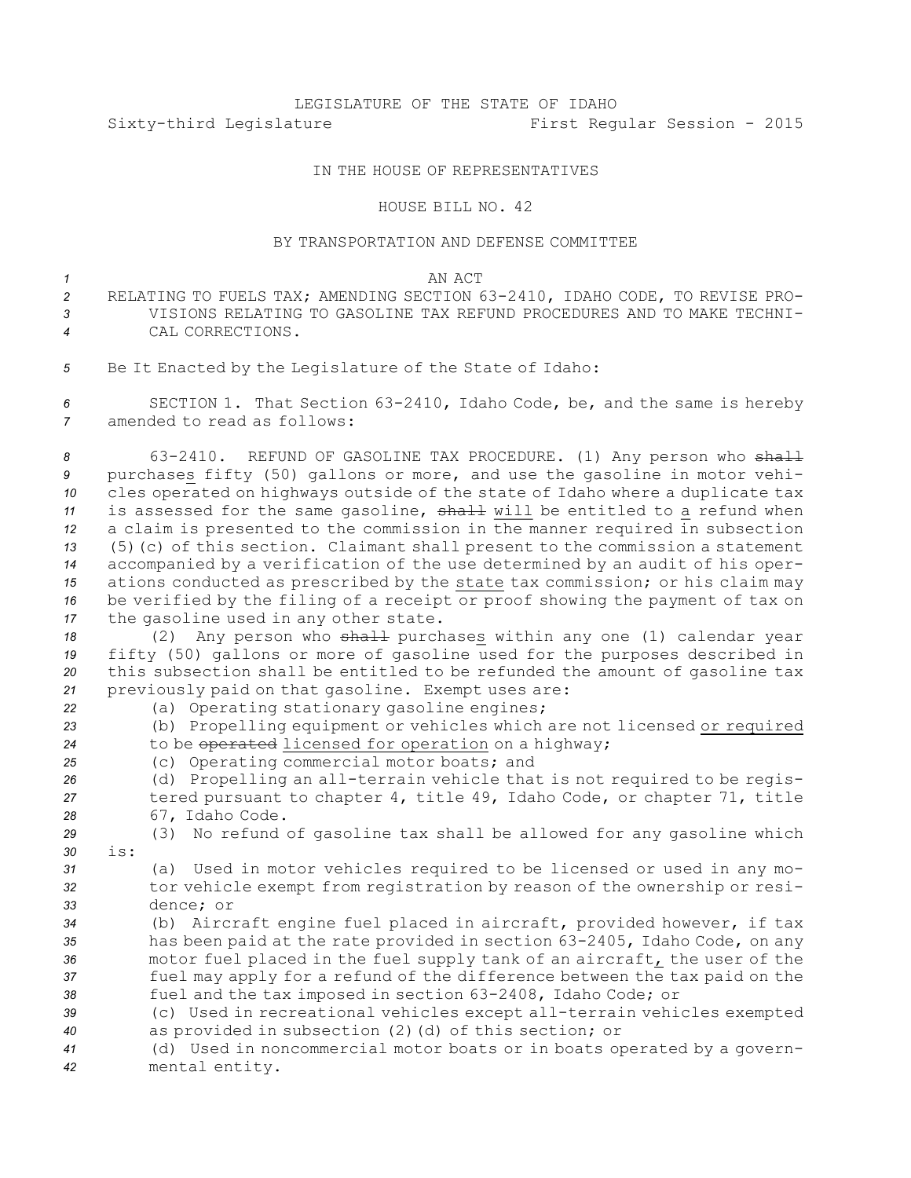# LEGISLATURE OF THE STATE OF IDAHO Sixty-third Legislature First Regular Session - 2015

## IN THE HOUSE OF REPRESENTATIVES

#### HOUSE BILL NO. 42

## BY TRANSPORTATION AND DEFENSE COMMITTEE

### *1* AN ACT

- *<sup>2</sup>* RELATING TO FUELS TAX; AMENDING SECTION 63-2410, IDAHO CODE, TO REVISE PRO-*3* VISIONS RELATING TO GASOLINE TAX REFUND PROCEDURES AND TO MAKE TECHNI-*4* CAL CORRECTIONS.
- *<sup>5</sup>* Be It Enacted by the Legislature of the State of Idaho:

*<sup>6</sup>* SECTION 1. That Section 63-2410, Idaho Code, be, and the same is hereby *7* amended to read as follows:

8 63-2410. REFUND OF GASOLINE TAX PROCEDURE. (1) Any person who shall purchases fifty (50) gallons or more, and use the gasoline in motor vehi- cles operated on highways outside of the state of Idaho where <sup>a</sup> duplicate tax 11 is assessed for the same gasoline, shall will be entitled to a refund when <sup>a</sup> claim is presented to the commission in the manner required in subsection (5)(c) of this section. Claimant shall present to the commission <sup>a</sup> statement accompanied by <sup>a</sup> verification of the use determined by an audit of his oper- ations conducted as prescribed by the state tax commission; or his claim may be verified by the filing of <sup>a</sup> receipt or proof showing the payment of tax on the gasoline used in any other state.

18 (2) Any person who shall purchases within any one (1) calendar year fifty (50) gallons or more of gasoline used for the purposes described in this subsection shall be entitled to be refunded the amount of gasoline tax previously paid on that gasoline. Exempt uses are:

*<sup>22</sup>* (a) Operating stationary gasoline engines; *<sup>23</sup>* (b) Propelling equipment or vehicles which are not licensed or required *<sup>24</sup>* to be operated licensed for operation on <sup>a</sup> highway;

*<sup>25</sup>* (c) Operating commercial motor boats; and

*<sup>26</sup>* (d) Propelling an all-terrain vehicle that is not required to be regis-*<sup>27</sup>* tered pursuant to chapter 4, title 49, Idaho Code, or chapter 71, title *<sup>28</sup>* 67, Idaho Code.

*<sup>29</sup>* (3) No refund of gasoline tax shall be allowed for any gasoline which *30* is:

*<sup>31</sup>* (a) Used in motor vehicles required to be licensed or used in any mo-*<sup>32</sup>* tor vehicle exempt from registration by reason of the ownership or resi-*33* dence; or

 (b) Aircraft engine fuel placed in aircraft, provided however, if tax has been paid at the rate provided in section 63-2405, Idaho Code, on any motor fuel placed in the fuel supply tank of an aircraft, the user of the fuel may apply for <sup>a</sup> refund of the difference between the tax paid on the fuel and the tax imposed in section 63-2408, Idaho Code; or

*<sup>39</sup>* (c) Used in recreational vehicles except all-terrain vehicles exempted *<sup>40</sup>* as provided in subsection (2)(d) of this section; or

*<sup>41</sup>* (d) Used in noncommercial motor boats or in boats operated by <sup>a</sup> govern-*<sup>42</sup>* mental entity.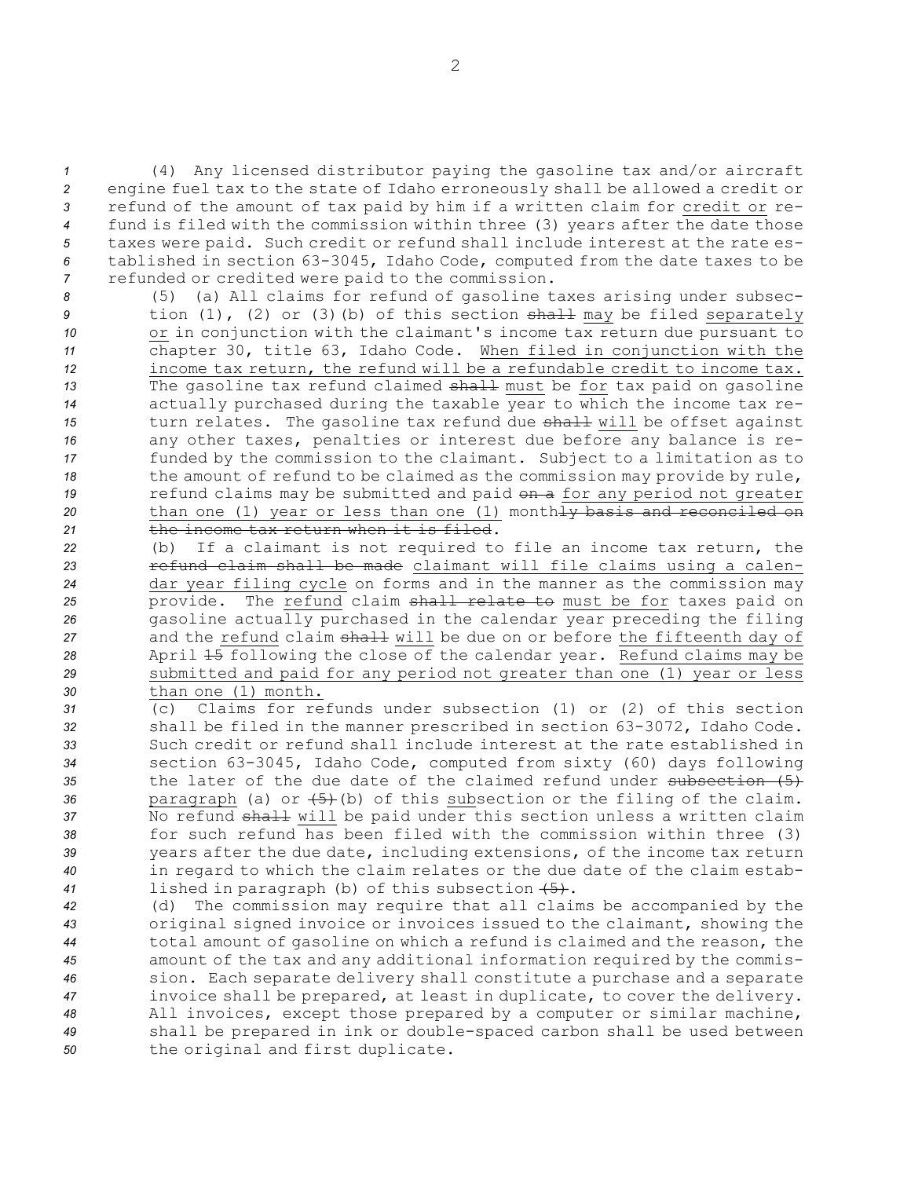(4) Any licensed distributor paying the gasoline tax and/or aircraft engine fuel tax to the state of Idaho erroneously shall be allowed <sup>a</sup> credit or refund of the amount of tax paid by him if <sup>a</sup> written claim for credit or re- fund is filed with the commission within three (3) years after the date those taxes were paid. Such credit or refund shall include interest at the rate es- tablished in section 63-3045, Idaho Code, computed from the date taxes to be refunded or credited were paid to the commission.

 (5) (a) All claims for refund of gasoline taxes arising under subsec- tion (1), (2) or (3)(b) of this section shall may be filed separately or in conjunction with the claimant's income tax return due pursuant to chapter 30, title 63, Idaho Code. When filed in conjunction with the income tax return, the refund will be <sup>a</sup> refundable credit to income tax. 13 The gasoline tax refund claimed shall must be for tax paid on gasoline actually purchased during the taxable year to which the income tax re- turn relates. The gasoline tax refund due shall will be offset against any other taxes, penalties or interest due before any balance is re- funded by the commission to the claimant. Subject to <sup>a</sup> limitation as to the amount of refund to be claimed as the commission may provide by rule, **19** refund claims may be submitted and paid on a for any period not greater 20 than one (1) year or less than one (1) month<del>ly basis and reconciled on</del> the income tax return when it is filed.

- *<sup>22</sup>* (b) If <sup>a</sup> claimant is not required to file an income tax return, the *<sup>23</sup>* refund claim shall be made claimant will file claims using <sup>a</sup> calen-*<sup>24</sup>* dar year filing cycle on forms and in the manner as the commission may *<sup>25</sup>* provide. The refund claim shall relate to must be for taxes paid on *<sup>26</sup>* gasoline actually purchased in the calendar year preceding the filing 27 and the refund claim shall will be due on or before the fifteenth day of *<sup>28</sup>* April 15 following the close of the calendar year. Refund claims may be *<sup>29</sup>* submitted and paid for any period not greater than one (1) year or less *30* than one (1) month.
- *31* (c) Claims for refunds under subsection (1) or (2) of this section *<sup>32</sup>* shall be filed in the manner prescribed in section 63-3072, Idaho Code. *33* Such credit or refund shall include interest at the rate established in *<sup>34</sup>* section 63-3045, Idaho Code, computed from sixty (60) days following 35 the later of the due date of the claimed refund under subsection (5) 36 paragraph (a) or  $(5)$  (b) of this subsection or the filing of the claim. 37 No refund shall will be paid under this section unless a written claim *38* for such refund has been filed with the commission within three (3) *<sup>39</sup>* years after the due date, including extensions, of the income tax return *<sup>40</sup>* in regard to which the claim relates or the due date of the claim estab-*<sup>41</sup>* lished in paragraph (b) of this subsection (5).
- *<sup>42</sup>* (d) The commission may require that all claims be accompanied by the *<sup>43</sup>* original signed invoice or invoices issued to the claimant, showing the *<sup>44</sup>* total amount of gasoline on which <sup>a</sup> refund is claimed and the reason, the *<sup>45</sup>* amount of the tax and any additional information required by the commis-*<sup>46</sup>* sion. Each separate delivery shall constitute <sup>a</sup> purchase and <sup>a</sup> separate *<sup>47</sup>* invoice shall be prepared, at least in duplicate, to cover the delivery. *<sup>48</sup>* All invoices, except those prepared by <sup>a</sup> computer or similar machine, *<sup>49</sup>* shall be prepared in ink or double-spaced carbon shall be used between *<sup>50</sup>* the original and first duplicate.